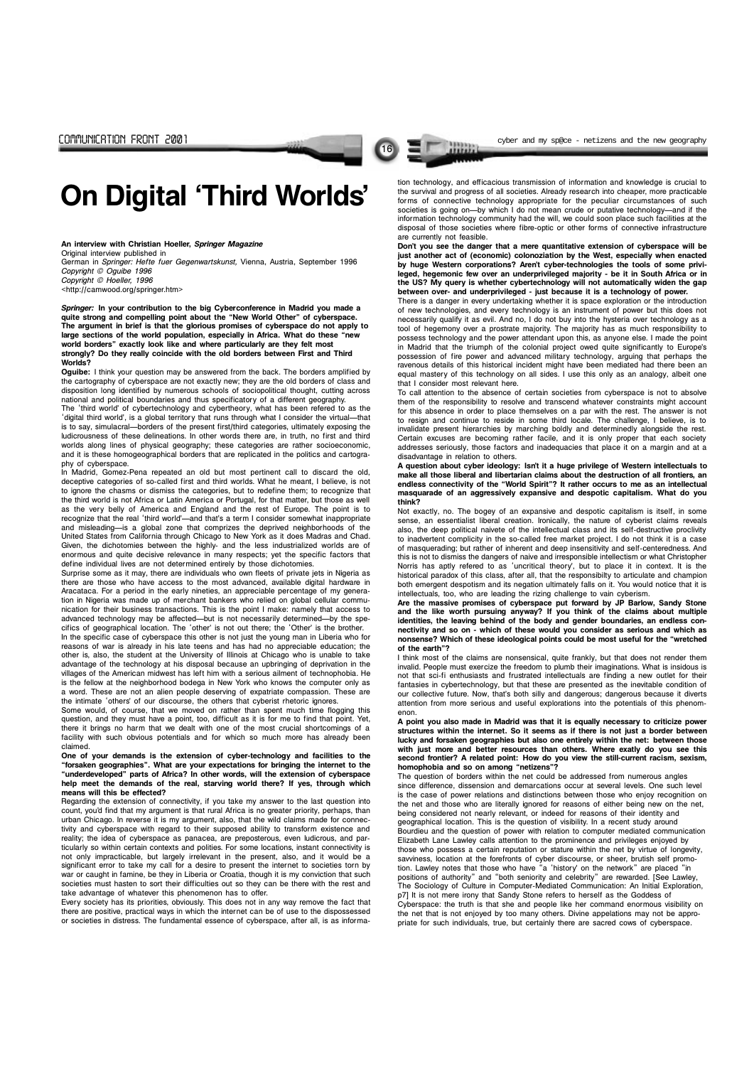16

An interview with Christian Hoeller, Springer Magazine

German in Springer: Hefte fuer Gegenwartskunst, Vienna, Austria, September 1996

Copyright © Oguibe 1996

Copyright © Hoeller, 1996

Original interview published in

<http://camwood.org/springer.htm>

Springer: In your contribution to the big Cyberconference in Madrid you made a quite strong and compelling point about the "New World Other" of cyberspace. The argument in brief is that the glorious promises of cyberspace do not apply to large sections of the world population, especially in Africa. What do these "new world borders" exactly look like and where particularly are they felt most strongly? Do they really coincide with the old borders between First and Third Worlds?

The 'third world' of cybertechnology and cybertheory, what has been refered to as the 'digital third world', is a global territory that runs through what I consider the virtual--that is to say, simulacral—borders of the present first/third categories, ultimately exposing the ludicrousness of these delineations. In other words there are, in truth, no first and third worlds along lines of physical geography; these categories are rather socioeconomic, and it is these homogeographical borders that are replicated in the politics and cartography of cyberspace.

Oguibe: I think your question may be answered from the back. The borders amplified by the cartography of cyberspace are not exactly new; they are the old borders of class and disposition long identified by numerous schools of sociopolitical thought, cutting across national and political boundaries and thus specificatory of a different geography.

Surprise some as it may, there are individuals who own fleets of private jets in Nigeria as there are those who have access to the most advanced, available digital hardware in Aracataca. For a period in the early nineties, an appreciable percentage of my generation in Nigeria was made up of merchant bankers who relied on global cellular communication for their business transactions. This is the point I make: namely that access to advanced technology may be affected—but is not necessarily determined—by the specifics of geographical location. The 'other' is not out there; the 'Other' is the brother.

In the specific case of cyberspace this other is not just the young man in Liberia who for reasons of war is already in his late teens and has had no appreciable education; the other is, also, the student at the University of Illinois at Chicago who is unable to take advantage of the technology at his disposal because an upbringing of deprivation in the villages of the American midwest has left him with a serious ailment of technophobia. He is the fellow at the neighborhood bodega in New York who knows the computer only as a word. These are not an alien people deserving of expatriate compassion. These are the intimate 'others' of our discourse, the others that cyberist rhetoric ignores.

In Madrid, Gomez-Pena repeated an old but most pertinent call to discard the old, deceptive categories of so-called first and third worlds. What he meant, I believe, is not to ignore the chasms or dismiss the categories, but to redefine them; to recognize that the third world is not Africa or Latin America or Portugal, for that matter, but those as well as the very belly of America and England and the rest of Europe. The point is to recognize that the real 'third world'-and that's a term I consider somewhat inappropriate and misleading-is a global zone that comprizes the deprived neighborhoods of the United States from California through Chicago to New York as it does Madras and Chad. Given, the dichotomies between the highly- and the less industrialized worlds are of enormous and quite decisive relevance in many respects; yet the specific factors that define individual lives are not determined entirely by those dichotomies.

Don't you see the danger that a mere quantitative extension of cyberspace will be just another act of (economic) colonoziation by the West, especially when enacted by huge Western corporations? Aren't cyber-technologies the tools of some privileged, hegemonic few over an underprivileged majority - be it in South Africa or in the US? My query is whether cybertechnology will not automatically widen the gap between over- and underprivileged - just because it is a technology of power.

Some would, of course, that we moved on rather than spent much time flogging this question, and they must have a point, too, difficult as it is for me to find that point. Yet, there it brings no harm that we dealt with one of the most crucial shortcomings of a facility with such obvious potentials and for which so much more has already been claimed.

One of your demands is the extension of cyber-technology and facilities to the "forsaken geographies". What are your expectations for bringing the internet to the "underdeveloped" parts of Africa? In other words, will the extension of cyberspace help meet the demands of the real, starving world there? If yes, through which means will this be effected?

Regarding the extension of connectivity, if you take my answer to the last question into

Are the massive promises of cyberspace put forward by JP Barlow, Sandy Stone and the like worth pursuing anyway? If you think of the claims about multiple identities, the leaving behind of the body and gender boundaries, an endless connectivity and so on - which of these would you consider as serious and which as nonsense? Which of these ideological points could be most useful for the "wretched of the earth"?

count, youd find that my argument is that rural Africa is no greater priority, perhaps, than urban Chicago. In reverse it is my argument, also, that the wild claims made for connectivity and cyberspace with regard to their supposed ability to transform existence and reality; the idea of cyberspace as panacea, are preposterous, even ludicrous, and particularly so within certain contexts and polities. For some locations, instant connectivity is not only impracticable, but largely irrelevant in the present, also, and it would be a significant error to take my call for a desire to present the internet to societies torn by war or caught in famine, be they in Liberia or Croatia, though it is my conviction that such societies must hasten to sort their difficulties out so they can be there with the rest and take advantage of whatever this phenomenon has to offer.

A point you also made in Madrid was that it is equally necessary to criticize power structures within the internet. So it seems as if there is not just a border between lucky and forsaken geographies but also one entirely within the net: between those with just more and better resources than others. Where exatly do you see this second frontier? A related point: How do you view the still-current racism, sexism, homophobia and so on among "netizens"?

Every society has its priorities, obviously. This does not in any way remove the fact that there are positive, practical ways in which the internet can be of use to the dispossessed or societies in distress. The fundamental essence of cyberspace, after all, is as information technology, and efficacious transmission of information and knowledge is crucial to the survival and progress of all societies. Already research into cheaper, more practicable forms of connective technology appropriate for the peculiar circumstances of such societies is going on-by which I do not mean crude or putative technology-and if the information technology community had the will, we could soon place such facilities at the disposal of those societies where fibre-optic or other forms of connective infrastructure are currently not feasible.

There is a danger in every undertaking whether it is space exploration or the introduction of new technologies, and every technology is an instrument of power but this does not necessarily qualify it as evil. And no, I do not buy into the hysteria over technology as a tool of hegemony over a prostrate majority. The majority has as much responsibility to possess technology and the power attendant upon this, as anyone else. I made the point in Madrid that the triumph of the colonial project owed quite significantly to Europe's possession of fire power and advanced military technology, arguing that perhaps the ravenous details of this historical incident might have been mediated had there been an equal mastery of this technology on all sides. I use this only as an analogy, albeit one that I consider most relevant here.

To call attention to the absence of certain societies from cyberspace is not to absolve them of the responsibility to resolve and transcend whatever constraints might account for this absence in order to place themselves on a par with the rest. The answer is not to resign and continue to reside in some third locale. The challenge, I believe, is to invalidate present hierarchies by marching boldly and determinedly alongside the rest. Certain excuses are becoming rather facile, and it is only proper that each society addresses seriously, those factors and inadequacies that place it on a margin and at a disadvantage in relation to others.

A question about cyber ideology: Isnt it a huge privilege of Western intellectuals to make all those liberal and libertarian claims about the destruction of all frontiers, an endless connectivity of the "World Spirit"? It rather occurs to me as an intellectual masquarade of an aggressively expansive and despotic capitalism. What do you think?

Not exactly, no. The bogey of an expansive and despotic capitalism is itself, in some sense, an essentialist liberal creation. Ironically, the nature of cyberist claims reveals also, the deep political naivete of the intellectual class and its self-destructive proclivity to inadvertent complicity in the so-called free market project. I do not think it is a case of masquerading; but rather of inherent and deep insensitivity and self-centeredness. And this is not to dismiss the dangers of naive and irresponsible intellectism or what Christopher Norris has aptly refered to as 'uncritical theory', but to place it in context. It is the historical paradox of this class, after all, that the responsibilty to articulate and champion both emergent despotism and its negation ultimately falls on it. You would notice that it is intellectuals, too, who are leading the rizing challenge to vain cyberism.

I think most of the claims are nonsensical, quite frankly, but that does not render them invalid. People must exercize the freedom to plumb their imaginations. What is insidous is not that sci-fi enthusiasts and frustrated intellectuals are finding a new outlet for their fantasies in cybertechnology, but that these are presented as the inevitable condition of our collective future. Now, that's both silly and dangerous; dangerous because it diverts attention from more serious and useful explorations into the potentials of this phenomenon.

The question of borders within the net could be addressed from numerous angles since difference, dissension and demarcations occur at several levels. One such level is the case of power relations and distinctions between those who enjoy recognition on the net and those who are literally ignored for reasons of either being new on the being considered not nearly relevant, or indeed for reasons of their identity and geographical location. This is the question of visibility. In a recent study around Bourdieu and the question of power with relation to computer mediated communication Elizabeth Lane Lawley calls attention to the prominence and privileges enjoyed by those who possess a certain reputation or stature within the net by virtue of longevity, savviness, location at the forefronts of cyber discourse, or sheer, brutish self promotion. Lawley notes that those who have "a 'history' on the network" are placed "in positions of authority" and "both seniority and celebrity" are rewarded. [See Lawley, The Sociology of Culture in Computer-Mediated Communication: An Initial Exploration, p7] It is not mere irony that Sandy Stone refers to herself as the Goddess of Cyberspace: the truth is that she and people like her command enormous visibility on the net that is not enjoyed by too many others. Divine appelations may not be appropriate for such individuals, true, but certainly there are sacred cows of cyberspace.

communication from  $\sim$  cyber and my sp@ce - netizens and the new geography

On Digital Third Worlds